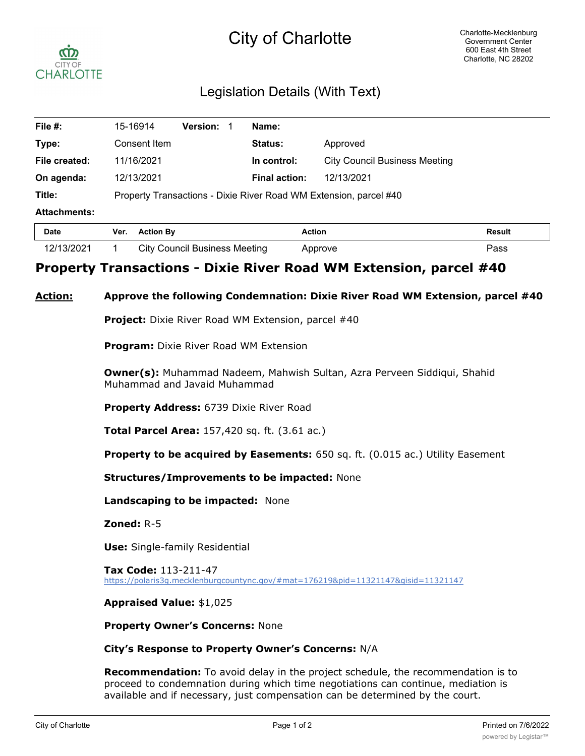## City of Charlotte



## Legislation Details (With Text)

| File #:             | 15-16914                                                          | <b>Version:</b> |  | Name:                |                                      |               |
|---------------------|-------------------------------------------------------------------|-----------------|--|----------------------|--------------------------------------|---------------|
| Type:               | Consent Item                                                      |                 |  | Status:              | Approved                             |               |
| File created:       | 11/16/2021                                                        |                 |  | In control:          | <b>City Council Business Meeting</b> |               |
| On agenda:          | 12/13/2021                                                        |                 |  | <b>Final action:</b> | 12/13/2021                           |               |
| Title:              | Property Transactions - Dixie River Road WM Extension, parcel #40 |                 |  |                      |                                      |               |
| <b>Attachments:</b> |                                                                   |                 |  |                      |                                      |               |
| <b>Date</b>         | <b>Action By</b><br>Ver.                                          |                 |  | <b>Action</b>        |                                      | <b>Result</b> |

# 12/13/2021 1 City Council Business Meeting Approve Pass

## **Property Transactions - Dixie River Road WM Extension, parcel #40**

### **Action: Approve the following Condemnation: Dixie River Road WM Extension, parcel #40**

**Project:** Dixie River Road WM Extension, parcel #40

**Program:** Dixie River Road WM Extension

**Owner(s):** Muhammad Nadeem, Mahwish Sultan, Azra Perveen Siddiqui, Shahid Muhammad and Javaid Muhammad

**Property Address:** 6739 Dixie River Road

**Total Parcel Area:** 157,420 sq. ft. (3.61 ac.)

**Property to be acquired by Easements:** 650 sq. ft. (0.015 ac.) Utility Easement

**Structures/Improvements to be impacted:** None

**Landscaping to be impacted:** None

**Zoned:** R-5

**Use:** Single-family Residential

**Tax Code:** 113-211-47 https://polaris3g.mecklenburgcountync.gov/#mat=176219&pid=11321147&gisid=11321147

#### **Appraised Value:** \$1,025

**Property Owner's Concerns:** None

#### **City's Response to Property Owner's Concerns:** N/A

**Recommendation:** To avoid delay in the project schedule, the recommendation is to proceed to condemnation during which time negotiations can continue, mediation is available and if necessary, just compensation can be determined by the court.